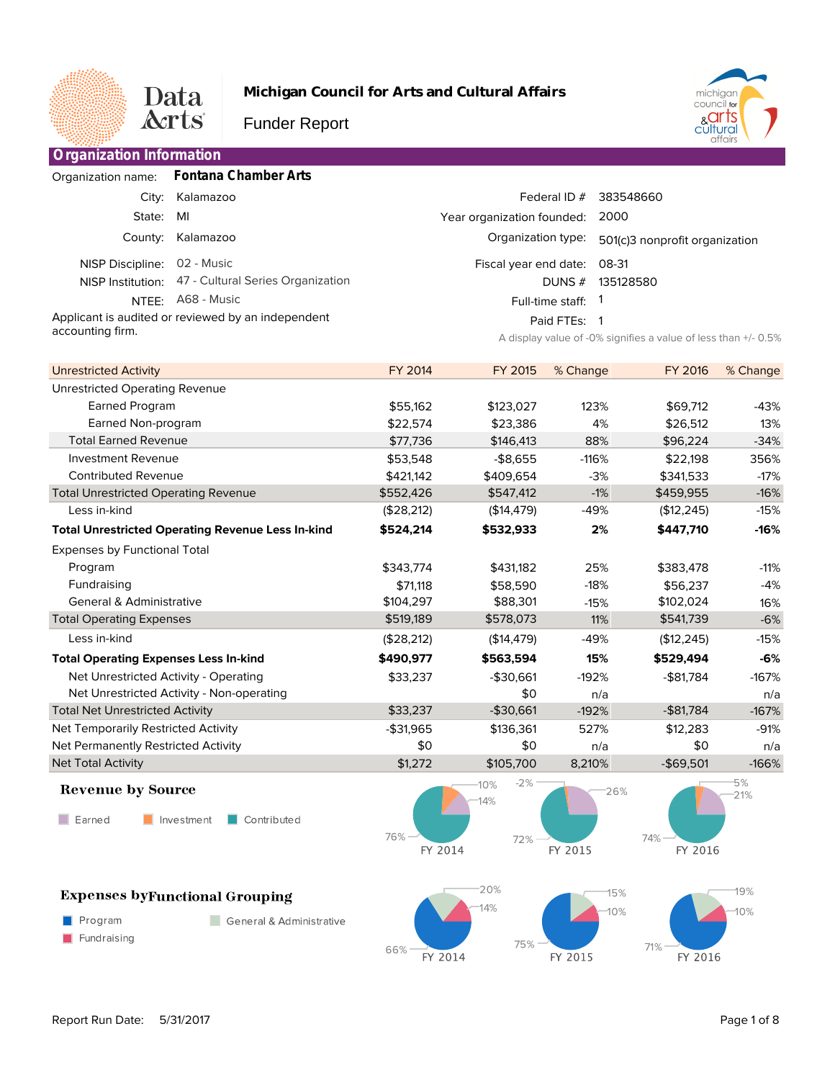

**Organization Information**

**Michigan Council for Arts and Cultural Affairs**

Funder Report



|                  | Organization name: Fontana Chamber Arts             |                             |                                                                |
|------------------|-----------------------------------------------------|-----------------------------|----------------------------------------------------------------|
|                  | City: Kalamazoo                                     | Federal ID $#$              | 383548660                                                      |
| State:           | MI                                                  | Year organization founded:  | 2000                                                           |
|                  | County: Kalamazoo                                   | Organization type:          | 501(c)3 nonprofit organization                                 |
| NISP Discipline: | 02 - Music                                          | Fiscal year end date: 08-31 |                                                                |
|                  | NISP Institution: 47 - Cultural Series Organization | DUNS $#$                    | 135128580                                                      |
| NTFF:            | A68 - Music                                         | Full-time staff: 1          |                                                                |
|                  | Applicant is audited or reviewed by an independent  | Paid FTEs: 1                |                                                                |
| accounting firm. |                                                     |                             | A display value of -0% signifies a value of less than +/- 0.5% |

| <b>Unrestricted Activity</b>                             | <b>FY 2014</b> | FY 2015     | % Change | <b>FY 2016</b> | % Change |
|----------------------------------------------------------|----------------|-------------|----------|----------------|----------|
| <b>Unrestricted Operating Revenue</b>                    |                |             |          |                |          |
| Earned Program                                           | \$55,162       | \$123,027   | 123%     | \$69,712       | $-43%$   |
| Earned Non-program                                       | \$22,574       | \$23,386    | 4%       | \$26,512       | 13%      |
| <b>Total Earned Revenue</b>                              | \$77,736       | \$146,413   | 88%      | \$96,224       | $-34%$   |
| <b>Investment Revenue</b>                                | \$53,548       | $-$8,655$   | $-116%$  | \$22,198       | 356%     |
| <b>Contributed Revenue</b>                               | \$421,142      | \$409,654   | $-3%$    | \$341,533      | $-17%$   |
| <b>Total Unrestricted Operating Revenue</b>              | \$552,426      | \$547,412   | $-1%$    | \$459,955      | $-16%$   |
| Less in-kind                                             | (\$28,212)     | (\$14,479)  | $-49%$   | (\$12, 245)    | $-15%$   |
| <b>Total Unrestricted Operating Revenue Less In-kind</b> | \$524.214      | \$532,933   | 2%       | \$447,710      | $-16%$   |
| <b>Expenses by Functional Total</b>                      |                |             |          |                |          |
| Program                                                  | \$343,774      | \$431.182   | 25%      | \$383,478      | $-11%$   |
| Fundraising                                              | \$71,118       | \$58,590    | $-18%$   | \$56,237       | $-4%$    |
| <b>General &amp; Administrative</b>                      | \$104,297      | \$88,301    | $-15%$   | \$102,024      | 16%      |
| <b>Total Operating Expenses</b>                          | \$519,189      | \$578,073   | 11%      | \$541,739      | $-6%$    |
| Less in-kind                                             | (\$28,212)     | (\$14, 479) | $-49%$   | (\$12, 245)    | $-15%$   |
| <b>Total Operating Expenses Less In-kind</b>             | \$490,977      | \$563,594   | 15%      | \$529,494      | $-6%$    |
| Net Unrestricted Activity - Operating                    | \$33,237       | $-$30,661$  | $-192%$  | $-$ \$81,784   | $-167%$  |
| Net Unrestricted Activity - Non-operating                |                | \$0         | n/a      |                | n/a      |
| <b>Total Net Unrestricted Activity</b>                   | \$33,237       | $-$30,661$  | $-192%$  | $-$ \$81,784   | $-167%$  |
| Net Temporarily Restricted Activity                      | -\$31,965      | \$136,361   | 527%     | \$12,283       | $-91%$   |
| Net Permanently Restricted Activity                      | \$0            | \$0         | n/a      | \$0            | n/a      |
| <b>Net Total Activity</b>                                | \$1,272        | \$105,700   | 8,210%   | $-$69,501$     | $-166%$  |
|                                                          |                |             |          |                |          |

## **Revenue by Source**

 $\blacksquare$  Earned Investment

 $\blacksquare$  Program

Fundraising

**Expenses byFunctional Grouping** 

Contributed

General & Administrative



 $-2%$ 26% 72% FY 2015



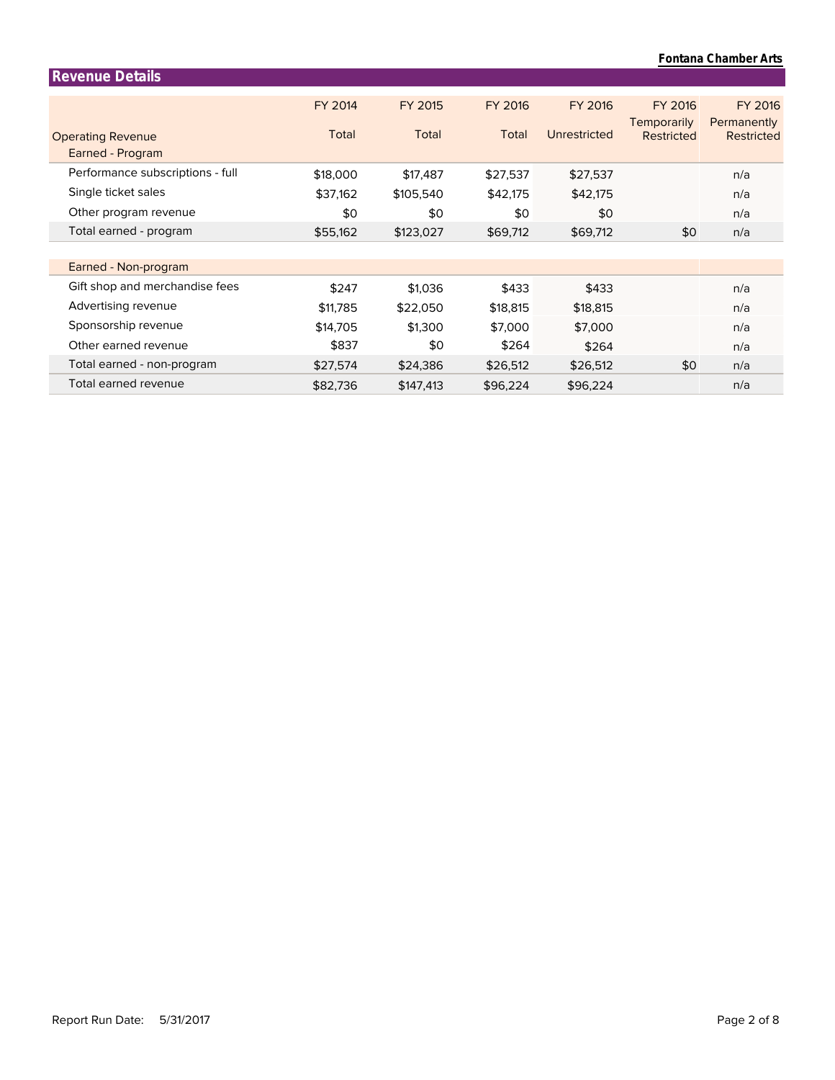| <b>Revenue Details</b>           |          |           |                |              |                        |                        |
|----------------------------------|----------|-----------|----------------|--------------|------------------------|------------------------|
|                                  | FY 2014  | FY 2015   | <b>FY 2016</b> | FY 2016      | FY 2016<br>Temporarily | FY 2016<br>Permanently |
| <b>Operating Revenue</b>         | Total    | Total     | Total          | Unrestricted | Restricted             | <b>Restricted</b>      |
| Earned - Program                 |          |           |                |              |                        |                        |
| Performance subscriptions - full | \$18,000 | \$17,487  | \$27,537       | \$27,537     |                        | n/a                    |
| Single ticket sales              | \$37,162 | \$105,540 | \$42,175       | \$42,175     |                        | n/a                    |
| Other program revenue            | \$0      | \$0       | \$0            | \$0          |                        | n/a                    |
| Total earned - program           | \$55,162 | \$123,027 | \$69,712       | \$69,712     | \$0                    | n/a                    |
|                                  |          |           |                |              |                        |                        |
| Earned - Non-program             |          |           |                |              |                        |                        |
| Gift shop and merchandise fees   | \$247    | \$1,036   | \$433          | \$433        |                        | n/a                    |
| Advertising revenue              | \$11,785 | \$22,050  | \$18,815       | \$18,815     |                        | n/a                    |
| Sponsorship revenue              | \$14,705 | \$1,300   | \$7,000        | \$7,000      |                        | n/a                    |
| Other earned revenue             | \$837    | \$0       | \$264          | \$264        |                        | n/a                    |
| Total earned - non-program       | \$27,574 | \$24,386  | \$26,512       | \$26,512     | \$0                    | n/a                    |
| Total earned revenue             | \$82,736 | \$147,413 | \$96,224       | \$96,224     |                        | n/a                    |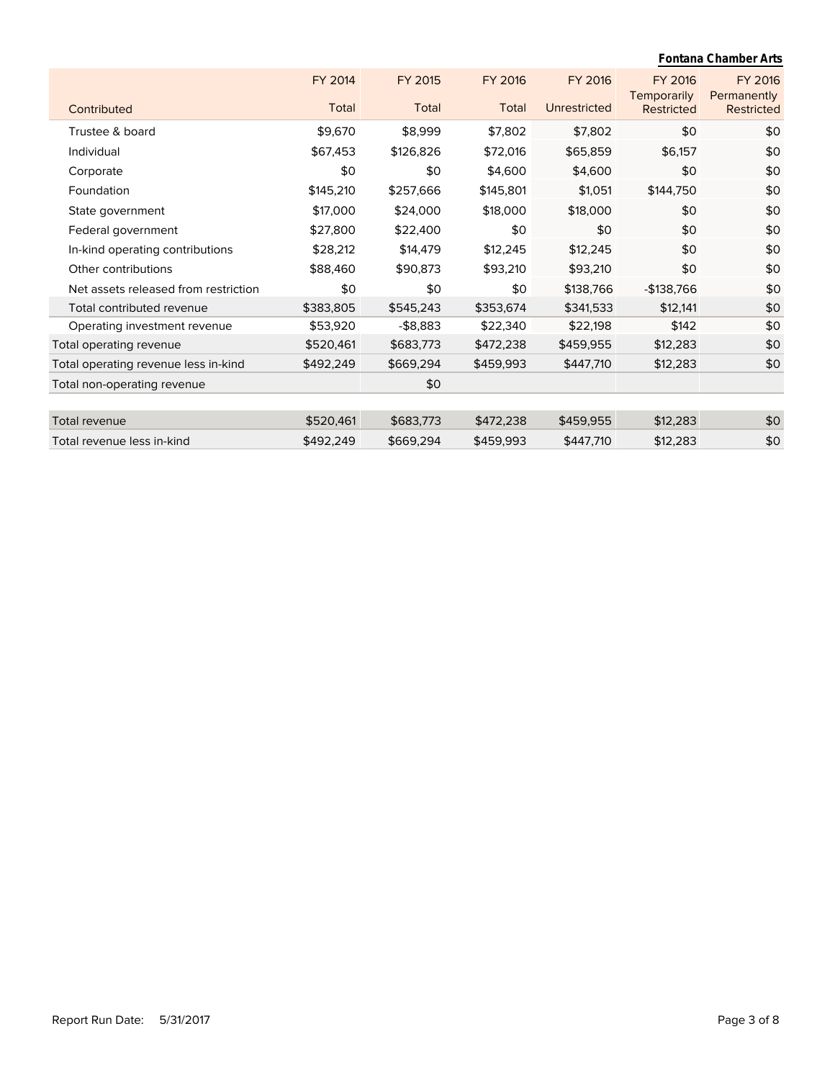|                                      |           |             |           |              |                               | Fontana Chamber Arts          |
|--------------------------------------|-----------|-------------|-----------|--------------|-------------------------------|-------------------------------|
|                                      | FY 2014   | FY 2015     | FY 2016   | FY 2016      | <b>FY 2016</b><br>Temporarily | <b>FY 2016</b><br>Permanently |
| Contributed                          | Total     | Total       | Total     | Unrestricted | <b>Restricted</b>             | Restricted                    |
| Trustee & board                      | \$9,670   | \$8,999     | \$7,802   | \$7,802      | \$0                           | \$0                           |
| Individual                           | \$67,453  | \$126,826   | \$72,016  | \$65,859     | \$6,157                       | \$0                           |
| Corporate                            | \$0       | \$0         | \$4,600   | \$4,600      | \$0                           | \$0                           |
| Foundation                           | \$145,210 | \$257,666   | \$145,801 | \$1,051      | \$144,750                     | \$0                           |
| State government                     | \$17,000  | \$24,000    | \$18,000  | \$18,000     | \$0                           | \$0                           |
| Federal government                   | \$27,800  | \$22,400    | \$0       | \$0          | \$0                           | \$0                           |
| In-kind operating contributions      | \$28,212  | \$14,479    | \$12,245  | \$12,245     | \$0                           | \$0                           |
| Other contributions                  | \$88,460  | \$90,873    | \$93,210  | \$93,210     | \$0                           | \$0                           |
| Net assets released from restriction | \$0       | \$0         | \$0       | \$138,766    | -\$138,766                    | \$0                           |
| Total contributed revenue            | \$383,805 | \$545,243   | \$353,674 | \$341,533    | \$12,141                      | \$0                           |
| Operating investment revenue         | \$53,920  | $-$ \$8,883 | \$22,340  | \$22,198     | \$142                         | \$0                           |
| Total operating revenue              | \$520,461 | \$683,773   | \$472,238 | \$459,955    | \$12,283                      | \$0                           |
| Total operating revenue less in-kind | \$492,249 | \$669,294   | \$459,993 | \$447,710    | \$12,283                      | \$0                           |
| Total non-operating revenue          |           | \$0         |           |              |                               |                               |
|                                      |           |             |           |              |                               |                               |
| Total revenue                        | \$520,461 | \$683,773   | \$472,238 | \$459,955    | \$12,283                      | \$0                           |
| Total revenue less in-kind           | \$492,249 | \$669,294   | \$459,993 | \$447,710    | \$12,283                      | \$0                           |
|                                      |           |             |           |              |                               |                               |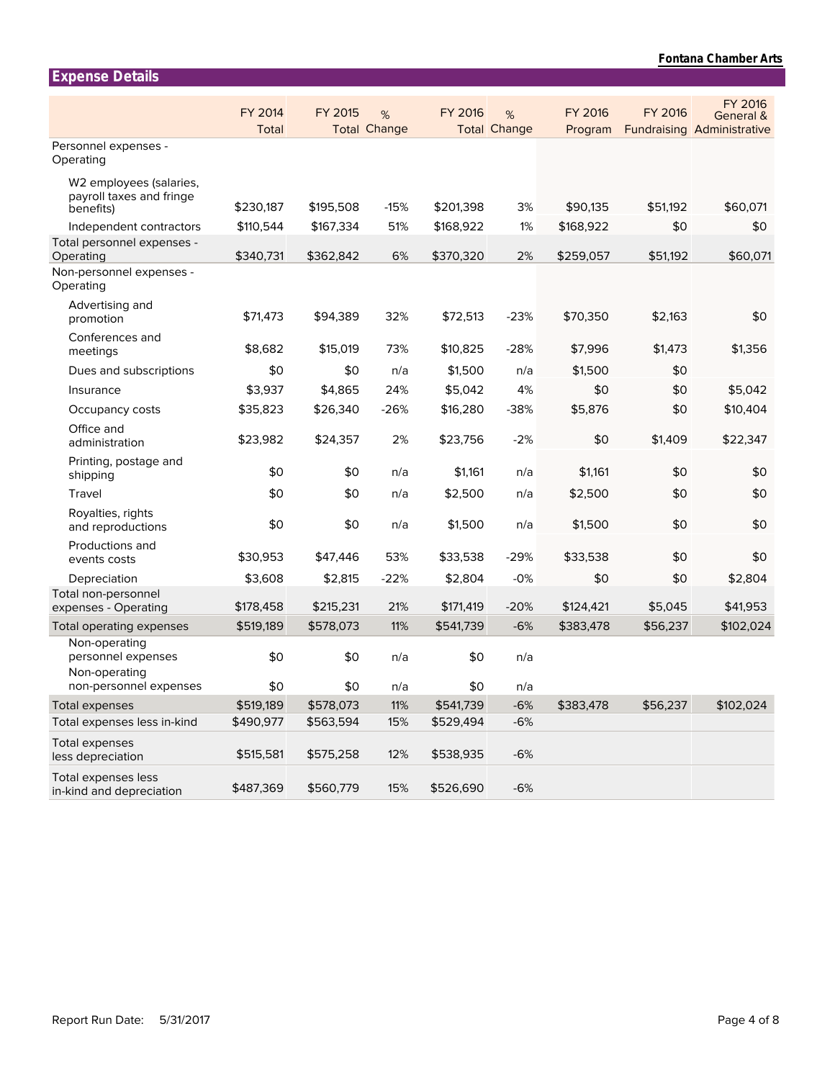| <b>Expense Details</b>                                           |                         |           |                          |                |                          |                    |          |                                                           |
|------------------------------------------------------------------|-------------------------|-----------|--------------------------|----------------|--------------------------|--------------------|----------|-----------------------------------------------------------|
|                                                                  | <b>FY 2014</b><br>Total | FY 2015   | %<br><b>Total Change</b> | <b>FY 2016</b> | %<br><b>Total Change</b> | FY 2016<br>Program | FY 2016  | FY 2016<br>General &<br><b>Fundraising Administrative</b> |
| Personnel expenses -<br>Operating                                |                         |           |                          |                |                          |                    |          |                                                           |
| W2 employees (salaries,<br>payroll taxes and fringe<br>benefits) | \$230,187               | \$195,508 | $-15%$                   | \$201,398      | 3%                       | \$90,135           | \$51,192 | \$60,071                                                  |
| Independent contractors                                          | \$110,544               | \$167,334 | 51%                      | \$168,922      | 1%                       | \$168,922          | \$0      | \$0                                                       |
| Total personnel expenses -<br>Operating                          | \$340,731               | \$362,842 | 6%                       | \$370,320      | 2%                       | \$259,057          | \$51,192 | \$60,071                                                  |
| Non-personnel expenses -<br>Operating                            |                         |           |                          |                |                          |                    |          |                                                           |
| Advertising and<br>promotion                                     | \$71,473                | \$94,389  | 32%                      | \$72,513       | $-23%$                   | \$70,350           | \$2,163  | \$0                                                       |
| Conferences and<br>meetings                                      | \$8,682                 | \$15,019  | 73%                      | \$10,825       | $-28%$                   | \$7,996            | \$1,473  | \$1,356                                                   |
| Dues and subscriptions                                           | \$0                     | \$0       | n/a                      | \$1,500        | n/a                      | \$1,500            | \$0      |                                                           |
| Insurance                                                        | \$3,937                 | \$4,865   | 24%                      | \$5,042        | 4%                       | \$0                | \$0      | \$5,042                                                   |
| Occupancy costs                                                  | \$35,823                | \$26,340  | $-26%$                   | \$16,280       | $-38%$                   | \$5,876            | \$0      | \$10,404                                                  |
| Office and<br>administration                                     | \$23,982                | \$24,357  | 2%                       | \$23,756       | $-2%$                    | \$0                | \$1,409  | \$22,347                                                  |
| Printing, postage and<br>shipping                                | \$0                     | \$0       | n/a                      | \$1,161        | n/a                      | \$1,161            | \$0      | \$0                                                       |
| Travel                                                           | \$0                     | \$0       | n/a                      | \$2,500        | n/a                      | \$2,500            | \$0      | \$0                                                       |
| Royalties, rights<br>and reproductions                           | \$0                     | \$0       | n/a                      | \$1,500        | n/a                      | \$1,500            | \$0      | \$0                                                       |
| Productions and<br>events costs                                  | \$30,953                | \$47,446  | 53%                      | \$33,538       | $-29%$                   | \$33,538           | \$0      | \$0                                                       |
| Depreciation                                                     | \$3,608                 | \$2,815   | $-22%$                   | \$2,804        | $-0%$                    | \$0                | \$0      | \$2,804                                                   |
| Total non-personnel<br>expenses - Operating                      | \$178,458               | \$215,231 | 21%                      | \$171,419      | $-20%$                   | \$124,421          | \$5,045  | \$41,953                                                  |
| Total operating expenses                                         | \$519,189               | \$578,073 | 11%                      | \$541,739      | $-6%$                    | \$383,478          | \$56,237 | \$102,024                                                 |
| Non-operating<br>personnel expenses<br>Non-operating             | \$0                     | \$0       | n/a                      | \$0            | n/a                      |                    |          |                                                           |
| non-personnel expenses                                           | \$0                     | \$0       | n/a                      | \$0            | n/a                      |                    |          |                                                           |
| <b>Total expenses</b><br>Total expenses less in-kind             | \$519,189               | \$578,073 | 11%                      | \$541,739      | $-6%$                    | \$383,478          | \$56,237 | \$102,024                                                 |
| Total expenses                                                   | \$490,977               | \$563,594 | 15%                      | \$529,494      | $-6%$                    |                    |          |                                                           |
| less depreciation                                                | \$515,581               | \$575,258 | 12%                      | \$538,935      | $-6%$                    |                    |          |                                                           |
| Total expenses less<br>in-kind and depreciation                  | \$487,369               | \$560,779 | 15%                      | \$526,690      | $-6%$                    |                    |          |                                                           |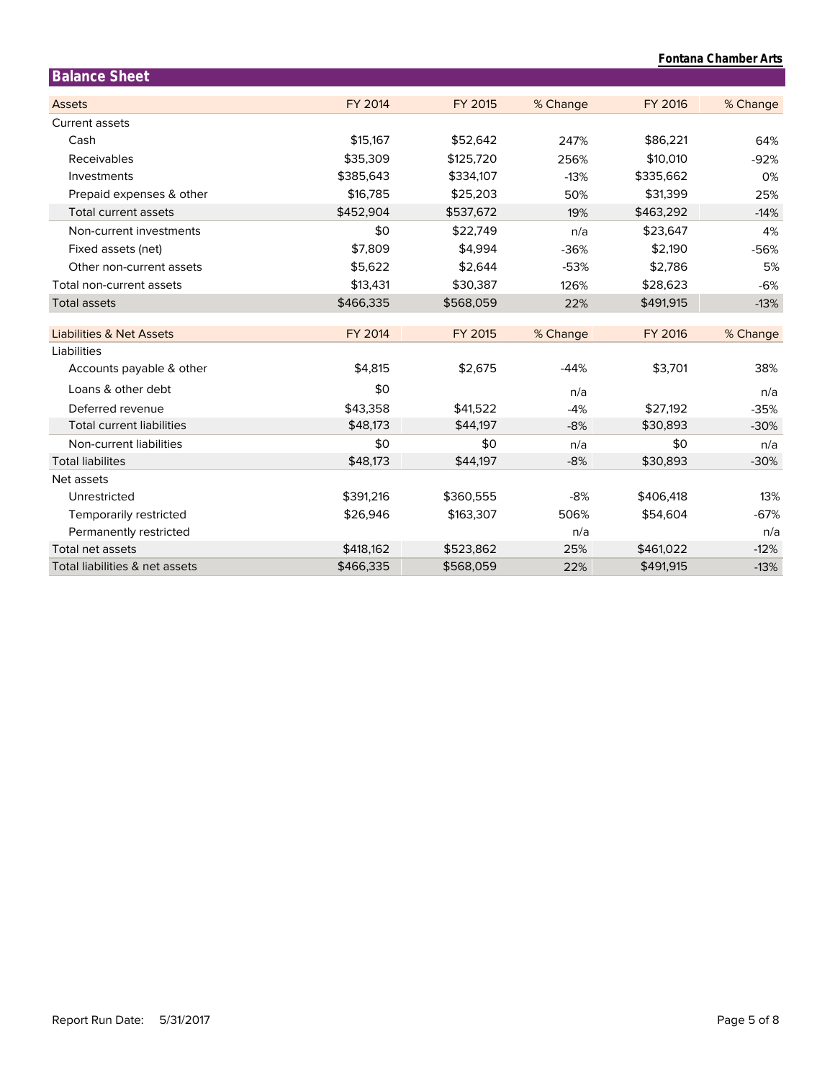| Fontana Chamber Arts                |                |           |          |                |          |  |
|-------------------------------------|----------------|-----------|----------|----------------|----------|--|
| <b>Balance Sheet</b>                |                |           |          |                |          |  |
| <b>Assets</b>                       | <b>FY 2014</b> | FY 2015   | % Change | <b>FY 2016</b> | % Change |  |
| Current assets                      |                |           |          |                |          |  |
| Cash                                | \$15,167       | \$52,642  | 247%     | \$86,221       | 64%      |  |
| Receivables                         | \$35,309       | \$125,720 | 256%     | \$10,010       | $-92%$   |  |
| Investments                         | \$385,643      | \$334,107 | $-13%$   | \$335,662      | 0%       |  |
| Prepaid expenses & other            | \$16,785       | \$25,203  | 50%      | \$31,399       | 25%      |  |
| Total current assets                | \$452,904      | \$537,672 | 19%      | \$463,292      | $-14%$   |  |
| Non-current investments             | \$0            | \$22,749  | n/a      | \$23,647       | 4%       |  |
| Fixed assets (net)                  | \$7,809        | \$4.994   | $-36%$   | \$2,190        | $-56%$   |  |
| Other non-current assets            | \$5,622        | \$2,644   | $-53%$   | \$2,786        | 5%       |  |
| Total non-current assets            | \$13,431       | \$30,387  | 126%     | \$28,623       | $-6%$    |  |
| <b>Total assets</b>                 | \$466,335      | \$568,059 | 22%      | \$491,915      | $-13%$   |  |
| <b>Liabilities &amp; Net Assets</b> | <b>FY 2014</b> | FY 2015   | % Change | <b>FY 2016</b> | % Change |  |
| Liabilities                         |                |           |          |                |          |  |
| Accounts payable & other            | \$4,815        | \$2,675   | $-44%$   | \$3,701        | 38%      |  |
| Loans & other debt                  | \$0            |           | n/a      |                | n/a      |  |
| Deferred revenue                    | \$43,358       | \$41,522  | $-4%$    | \$27,192       | $-35%$   |  |
| <b>Total current liabilities</b>    | \$48,173       | \$44,197  | $-8%$    | \$30,893       | $-30%$   |  |
| Non-current liabilities             | \$0            | \$0       | n/a      | \$0            | n/a      |  |
| <b>Total liabilites</b>             | \$48,173       | \$44,197  | $-8%$    | \$30,893       | $-30%$   |  |
| Net assets                          |                |           |          |                |          |  |
| Unrestricted                        | \$391,216      | \$360,555 | $-8%$    | \$406,418      | 13%      |  |
| Temporarily restricted              | \$26,946       | \$163,307 | 506%     | \$54,604       | $-67%$   |  |
| Permanently restricted              |                |           | n/a      |                | n/a      |  |
| Total net assets                    | \$418,162      | \$523,862 | 25%      | \$461,022      | $-12%$   |  |
| Total liabilities & net assets      | \$466,335      | \$568,059 | 22%      | \$491,915      | $-13%$   |  |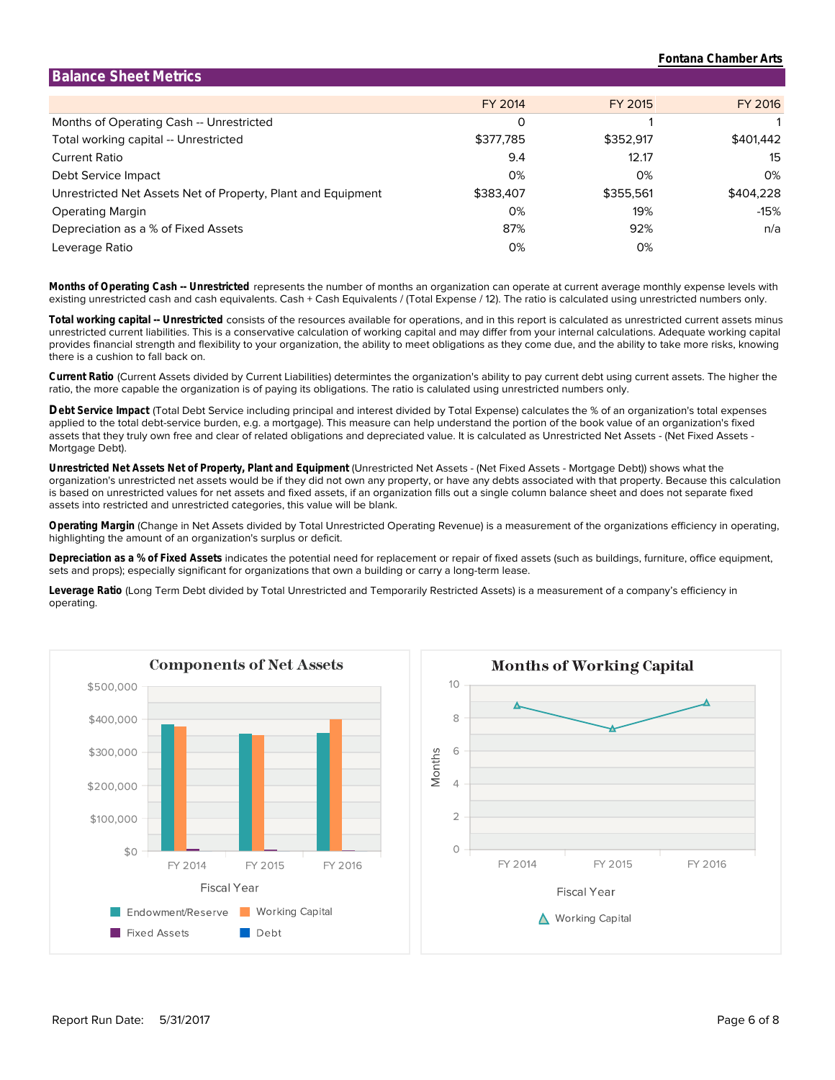| <b>Balance Sheet Metrics</b>                                 |           |           |           |
|--------------------------------------------------------------|-----------|-----------|-----------|
|                                                              | FY 2014   | FY 2015   | FY 2016   |
| Months of Operating Cash -- Unrestricted                     | 0         |           |           |
| Total working capital -- Unrestricted                        | \$377,785 | \$352,917 | \$401,442 |
| Current Ratio                                                | 9.4       | 12.17     | 15        |
| Debt Service Impact                                          | 0%        | 0%        | 0%        |
| Unrestricted Net Assets Net of Property, Plant and Equipment | \$383,407 | \$355,561 | \$404,228 |
| <b>Operating Margin</b>                                      | 0%        | 19%       | -15%      |
| Depreciation as a % of Fixed Assets                          | 87%       | 92%       | n/a       |
| Leverage Ratio                                               | 0%        | 0%        |           |

existing unrestricted cash and cash equivalents. Cash + Cash Equivalents / (Total Expense / 12). The ratio is calculated using unrestricted numbers only. **Months of Operating Cash -- Unrestricted** represents the number of months an organization can operate at current average monthly expense levels with

there is a cushion to fall back on. provides financial strength and flexibility to your organization, the ability to meet obligations as they come due, and the ability to take more risks, knowing unrestricted current liabilities. This is a conservative calculation of working capital and may differ from your internal calculations. Adequate working capital **Total working capital -- Unrestricted** consists of the resources available for operations, and in this report is calculated as unrestricted current assets minus

ratio, the more capable the organization is of paying its obligations. The ratio is calulated using unrestricted numbers only. **Current Ratio** (Current Assets divided by Current Liabilities) determintes the organization's ability to pay current debt using current assets. The higher the

Mortgage Debt). assets that they truly own free and clear of related obligations and depreciated value. It is calculated as Unrestricted Net Assets - (Net Fixed Assets applied to the total debt-service burden, e.g. a mortgage). This measure can help understand the portion of the book value of an organization's fixed **Debt Service Impact** (Total Debt Service including principal and interest divided by Total Expense) calculates the % of an organization's total expenses

assets into restricted and unrestricted categories, this value will be blank. is based on unrestricted values for net assets and fixed assets, if an organization fills out a single column balance sheet and does not separate fixed organization's unrestricted net assets would be if they did not own any property, or have any debts associated with that property. Because this calculation **Unrestricted Net Assets Net of Property, Plant and Equipment** (Unrestricted Net Assets - (Net Fixed Assets - Mortgage Debt)) shows what the

highlighting the amount of an organization's surplus or deficit. **Operating Margin** (Change in Net Assets divided by Total Unrestricted Operating Revenue) is a measurement of the organizations efficiency in operating,

sets and props); especially significant for organizations that own a building or carry a long-term lease. **Depreciation as a % of Fixed Assets** indicates the potential need for replacement or repair of fixed assets (such as buildings, furniture, office equipment,

operating. **Leverage Ratio** (Long Term Debt divided by Total Unrestricted and Temporarily Restricted Assets) is a measurement of a company's efficiency in



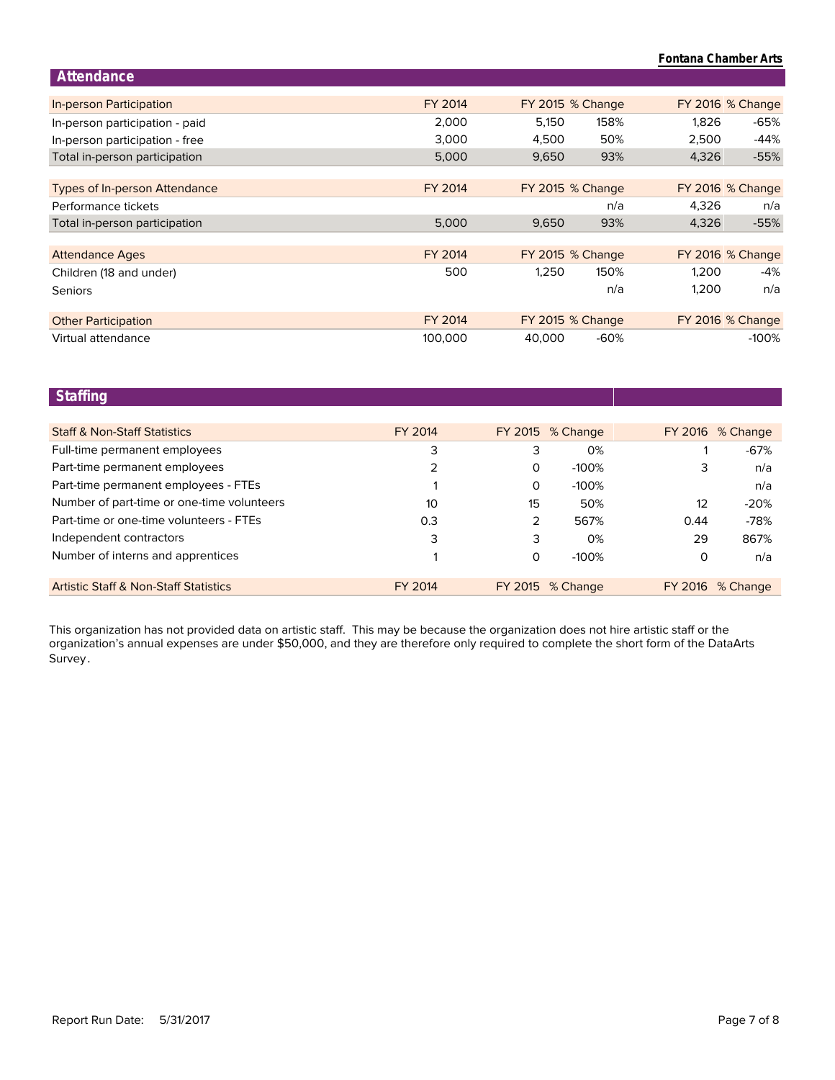## **Fontana Chamber Arts**

| Attendance                           |         |        |                         |       |                         |
|--------------------------------------|---------|--------|-------------------------|-------|-------------------------|
|                                      |         |        |                         |       |                         |
| In-person Participation              | FY 2014 |        | <b>FY 2015 % Change</b> |       | <b>FY 2016 % Change</b> |
| In-person participation - paid       | 2,000   | 5,150  | 158%                    | 1,826 | -65%                    |
| In-person participation - free       | 3,000   | 4,500  | 50%                     | 2,500 | $-44%$                  |
| Total in-person participation        | 5,000   | 9,650  | 93%                     | 4,326 | $-55%$                  |
|                                      |         |        |                         |       |                         |
| <b>Types of In-person Attendance</b> | FY 2014 |        | <b>FY 2015 % Change</b> |       | FY 2016 % Change        |
| Performance tickets                  |         |        | n/a                     | 4.326 | n/a                     |
| Total in-person participation        | 5,000   | 9,650  | 93%                     | 4,326 | $-55%$                  |
|                                      |         |        |                         |       |                         |
| <b>Attendance Ages</b>               | FY 2014 |        | <b>FY 2015 % Change</b> |       | FY 2016 % Change        |
| Children (18 and under)              | 500     | 1,250  | 150%                    | 1,200 | -4%                     |
| Seniors                              |         |        | n/a                     | 1,200 | n/a                     |
|                                      |         |        |                         |       |                         |
| <b>Other Participation</b>           | FY 2014 |        | <b>FY 2015 % Change</b> |       | FY 2016 % Change        |
| Virtual attendance                   | 100,000 | 40.000 | $-60%$                  |       | $-100%$                 |

## **Staffing**

| <b>Staff &amp; Non-Staff Statistics</b>          | FY 2014 |          | <b>FY 2015</b> % Change |          | FY 2016 % Change |
|--------------------------------------------------|---------|----------|-------------------------|----------|------------------|
| Full-time permanent employees                    | 3       | 3        | 0%                      |          | $-67%$           |
| Part-time permanent employees                    | 2       | 0        | $-100\%$                | 3        | n/a              |
| Part-time permanent employees - FTEs             |         | 0        | $-100%$                 |          | n/a              |
| Number of part-time or one-time volunteers       | 10      | 15       | 50%                     | 12       | $-20%$           |
| Part-time or one-time volunteers - FTEs          | 0.3     | 2        | 567%                    | 0.44     | $-78%$           |
| Independent contractors                          | 3       | 3        | 0%                      | 29       | 867%             |
| Number of interns and apprentices                |         | $\Omega$ | $-100\%$                | $\Omega$ | n/a              |
|                                                  |         |          |                         |          |                  |
| <b>Artistic Staff &amp; Non-Staff Statistics</b> | FY 2014 |          | <b>FY 2015</b> % Change |          | FY 2016 % Change |

Survey. organization's annual expenses are under \$50,000, and they are therefore only required to complete the short form of the DataArts This organization has not provided data on artistic staff. This may be because the organization does not hire artistic staff or the